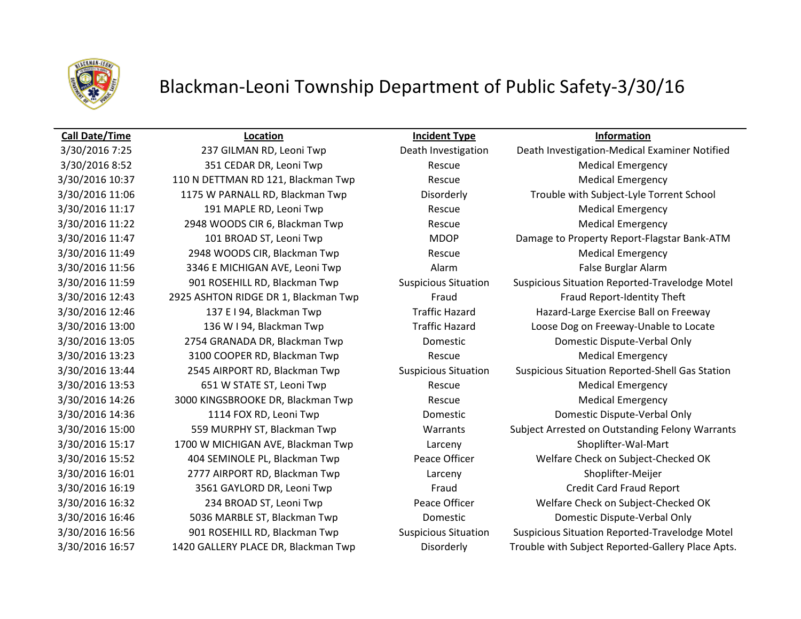

# Blackman-Leoni Township Department of Public Safety-3/30/16

| <b>Call Date/Time</b> | Location                             | <b>Incident Type</b>        | <b>Information</b>                                |
|-----------------------|--------------------------------------|-----------------------------|---------------------------------------------------|
| 3/30/2016 7:25        | 237 GILMAN RD, Leoni Twp             | Death Investigation         | Death Investigation-Medical Examiner Notified     |
| 3/30/2016 8:52        | 351 CEDAR DR, Leoni Twp              | Rescue                      | <b>Medical Emergency</b>                          |
| 3/30/2016 10:37       | 110 N DETTMAN RD 121, Blackman Twp   | Rescue                      | <b>Medical Emergency</b>                          |
| 3/30/2016 11:06       | 1175 W PARNALL RD, Blackman Twp      | Disorderly                  | Trouble with Subject-Lyle Torrent School          |
| 3/30/2016 11:17       | 191 MAPLE RD, Leoni Twp              | Rescue                      | <b>Medical Emergency</b>                          |
| 3/30/2016 11:22       | 2948 WOODS CIR 6, Blackman Twp       | Rescue                      | <b>Medical Emergency</b>                          |
| 3/30/2016 11:47       | 101 BROAD ST, Leoni Twp              | <b>MDOP</b>                 | Damage to Property Report-Flagstar Bank-ATM       |
| 3/30/2016 11:49       | 2948 WOODS CIR, Blackman Twp         | Rescue                      | <b>Medical Emergency</b>                          |
| 3/30/2016 11:56       | 3346 E MICHIGAN AVE, Leoni Twp       | Alarm                       | False Burglar Alarm                               |
| 3/30/2016 11:59       | 901 ROSEHILL RD, Blackman Twp        | <b>Suspicious Situation</b> | Suspicious Situation Reported-Travelodge Motel    |
| 3/30/2016 12:43       | 2925 ASHTON RIDGE DR 1, Blackman Twp | Fraud                       | Fraud Report-Identity Theft                       |
| 3/30/2016 12:46       | 137 E I 94, Blackman Twp             | <b>Traffic Hazard</b>       | Hazard-Large Exercise Ball on Freeway             |
| 3/30/2016 13:00       | 136 W I 94, Blackman Twp             | <b>Traffic Hazard</b>       | Loose Dog on Freeway-Unable to Locate             |
| 3/30/2016 13:05       | 2754 GRANADA DR, Blackman Twp        | Domestic                    | Domestic Dispute-Verbal Only                      |
| 3/30/2016 13:23       | 3100 COOPER RD, Blackman Twp         | Rescue                      | <b>Medical Emergency</b>                          |
| 3/30/2016 13:44       | 2545 AIRPORT RD, Blackman Twp        | <b>Suspicious Situation</b> | Suspicious Situation Reported-Shell Gas Station   |
| 3/30/2016 13:53       | 651 W STATE ST, Leoni Twp            | Rescue                      | <b>Medical Emergency</b>                          |
| 3/30/2016 14:26       | 3000 KINGSBROOKE DR, Blackman Twp    | Rescue                      | <b>Medical Emergency</b>                          |
| 3/30/2016 14:36       | 1114 FOX RD, Leoni Twp               | Domestic                    | Domestic Dispute-Verbal Only                      |
| 3/30/2016 15:00       | 559 MURPHY ST, Blackman Twp          | Warrants                    | Subject Arrested on Outstanding Felony Warrants   |
| 3/30/2016 15:17       | 1700 W MICHIGAN AVE, Blackman Twp    | Larceny                     | Shoplifter-Wal-Mart                               |
| 3/30/2016 15:52       | 404 SEMINOLE PL, Blackman Twp        | Peace Officer               | Welfare Check on Subject-Checked OK               |
| 3/30/2016 16:01       | 2777 AIRPORT RD, Blackman Twp        | Larceny                     | Shoplifter-Meijer                                 |
| 3/30/2016 16:19       | 3561 GAYLORD DR, Leoni Twp           | Fraud                       | <b>Credit Card Fraud Report</b>                   |
| 3/30/2016 16:32       | 234 BROAD ST, Leoni Twp              | Peace Officer               | Welfare Check on Subject-Checked OK               |
| 3/30/2016 16:46       | 5036 MARBLE ST, Blackman Twp         | Domestic                    | Domestic Dispute-Verbal Only                      |
| 3/30/2016 16:56       | 901 ROSEHILL RD, Blackman Twp        | <b>Suspicious Situation</b> | Suspicious Situation Reported-Travelodge Motel    |
| 3/30/2016 16:57       | 1420 GALLERY PLACE DR, Blackman Twp  | Disorderly                  | Trouble with Subject Reported-Gallery Place Apts. |